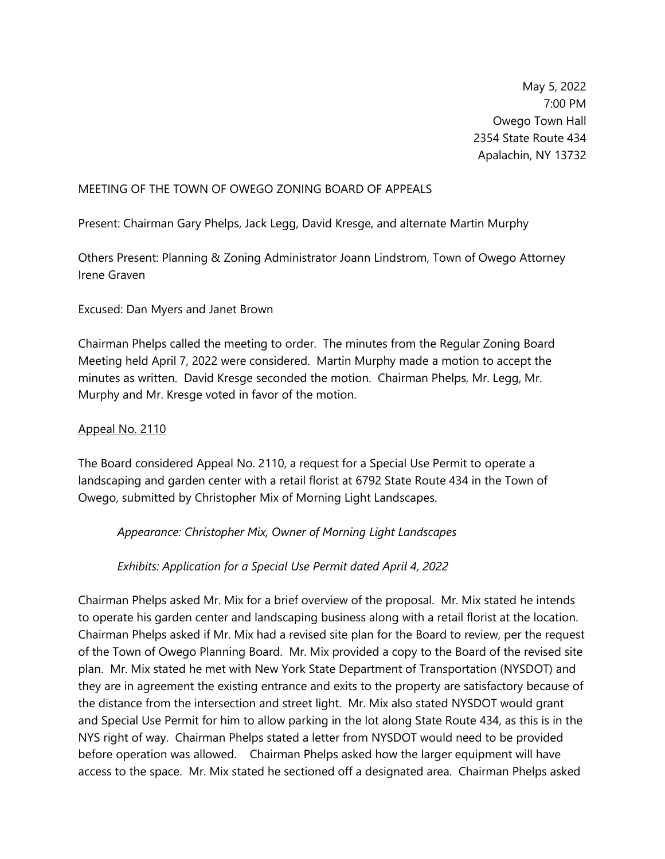May 5, 2022 7:00 PM Owego Town Hall 2354 State Route 434 Apalachin, NY 13732

## MEETING OF THE TOWN OF OWEGO ZONING BOARD OF APPEALS

Present: Chairman Gary Phelps, Jack Legg, David Kresge, and alternate Martin Murphy

Others Present: Planning & Zoning Administrator Joann Lindstrom, Town of Owego Attorney Irene Graven

## Excused: Dan Myers and Janet Brown

Chairman Phelps called the meeting to order. The minutes from the Regular Zoning Board Meeting held April 7, 2022 were considered. Martin Murphy made a motion to accept the minutes as written. David Kresge seconded the motion. Chairman Phelps, Mr. Legg, Mr. Murphy and Mr. Kresge voted in favor of the motion.

## Appeal No. 2110

The Board considered Appeal No. 2110, a request for a Special Use Permit to operate a landscaping and garden center with a retail florist at 6792 State Route 434 in the Town of Owego, submitted by Christopher Mix of Morning Light Landscapes.

*Appearance: Christopher Mix, Owner of Morning Light Landscapes*

*Exhibits: Application for a Special Use Permit dated April 4, 2022*

Chairman Phelps asked Mr. Mix for a brief overview of the proposal. Mr. Mix stated he intends to operate his garden center and landscaping business along with a retail florist at the location. Chairman Phelps asked if Mr. Mix had a revised site plan for the Board to review, per the request of the Town of Owego Planning Board. Mr. Mix provided a copy to the Board of the revised site plan. Mr. Mix stated he met with New York State Department of Transportation (NYSDOT) and they are in agreement the existing entrance and exits to the property are satisfactory because of the distance from the intersection and street light. Mr. Mix also stated NYSDOT would grant and Special Use Permit for him to allow parking in the lot along State Route 434, as this is in the NYS right of way. Chairman Phelps stated a letter from NYSDOT would need to be provided before operation was allowed. Chairman Phelps asked how the larger equipment will have access to the space. Mr. Mix stated he sectioned off a designated area. Chairman Phelps asked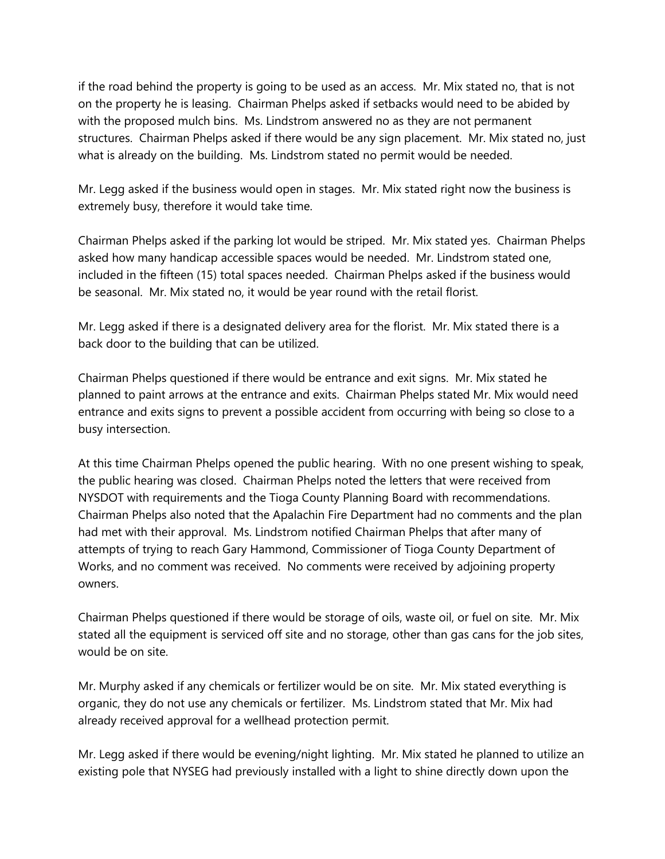if the road behind the property is going to be used as an access. Mr. Mix stated no, that is not on the property he is leasing. Chairman Phelps asked if setbacks would need to be abided by with the proposed mulch bins. Ms. Lindstrom answered no as they are not permanent structures. Chairman Phelps asked if there would be any sign placement. Mr. Mix stated no, just what is already on the building. Ms. Lindstrom stated no permit would be needed.

Mr. Legg asked if the business would open in stages. Mr. Mix stated right now the business is extremely busy, therefore it would take time.

Chairman Phelps asked if the parking lot would be striped. Mr. Mix stated yes. Chairman Phelps asked how many handicap accessible spaces would be needed. Mr. Lindstrom stated one, included in the fifteen (15) total spaces needed. Chairman Phelps asked if the business would be seasonal. Mr. Mix stated no, it would be year round with the retail florist.

Mr. Legg asked if there is a designated delivery area for the florist. Mr. Mix stated there is a back door to the building that can be utilized.

Chairman Phelps questioned if there would be entrance and exit signs. Mr. Mix stated he planned to paint arrows at the entrance and exits. Chairman Phelps stated Mr. Mix would need entrance and exits signs to prevent a possible accident from occurring with being so close to a busy intersection.

At this time Chairman Phelps opened the public hearing. With no one present wishing to speak, the public hearing was closed. Chairman Phelps noted the letters that were received from NYSDOT with requirements and the Tioga County Planning Board with recommendations. Chairman Phelps also noted that the Apalachin Fire Department had no comments and the plan had met with their approval. Ms. Lindstrom notified Chairman Phelps that after many of attempts of trying to reach Gary Hammond, Commissioner of Tioga County Department of Works, and no comment was received. No comments were received by adjoining property owners.

Chairman Phelps questioned if there would be storage of oils, waste oil, or fuel on site. Mr. Mix stated all the equipment is serviced off site and no storage, other than gas cans for the job sites, would be on site.

Mr. Murphy asked if any chemicals or fertilizer would be on site. Mr. Mix stated everything is organic, they do not use any chemicals or fertilizer. Ms. Lindstrom stated that Mr. Mix had already received approval for a wellhead protection permit.

Mr. Legg asked if there would be evening/night lighting. Mr. Mix stated he planned to utilize an existing pole that NYSEG had previously installed with a light to shine directly down upon the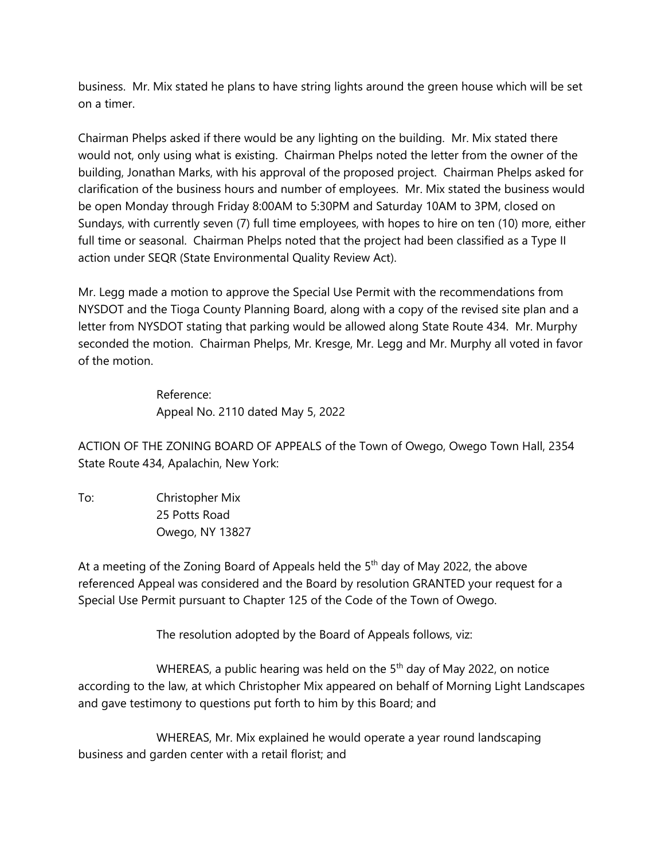business. Mr. Mix stated he plans to have string lights around the green house which will be set on a timer.

Chairman Phelps asked if there would be any lighting on the building. Mr. Mix stated there would not, only using what is existing. Chairman Phelps noted the letter from the owner of the building, Jonathan Marks, with his approval of the proposed project. Chairman Phelps asked for clarification of the business hours and number of employees. Mr. Mix stated the business would be open Monday through Friday 8:00AM to 5:30PM and Saturday 10AM to 3PM, closed on Sundays, with currently seven (7) full time employees, with hopes to hire on ten (10) more, either full time or seasonal. Chairman Phelps noted that the project had been classified as a Type II action under SEQR (State Environmental Quality Review Act).

Mr. Legg made a motion to approve the Special Use Permit with the recommendations from NYSDOT and the Tioga County Planning Board, along with a copy of the revised site plan and a letter from NYSDOT stating that parking would be allowed along State Route 434. Mr. Murphy seconded the motion. Chairman Phelps, Mr. Kresge, Mr. Legg and Mr. Murphy all voted in favor of the motion.

> Reference: Appeal No. 2110 dated May 5, 2022

ACTION OF THE ZONING BOARD OF APPEALS of the Town of Owego, Owego Town Hall, 2354 State Route 434, Apalachin, New York:

To: Christopher Mix 25 Potts Road Owego, NY 13827

At a meeting of the Zoning Board of Appeals held the  $5<sup>th</sup>$  day of May 2022, the above referenced Appeal was considered and the Board by resolution GRANTED your request for a Special Use Permit pursuant to Chapter 125 of the Code of the Town of Owego.

The resolution adopted by the Board of Appeals follows, viz:

WHEREAS, a public hearing was held on the 5<sup>th</sup> day of May 2022, on notice according to the law, at which Christopher Mix appeared on behalf of Morning Light Landscapes and gave testimony to questions put forth to him by this Board; and

WHEREAS, Mr. Mix explained he would operate a year round landscaping business and garden center with a retail florist; and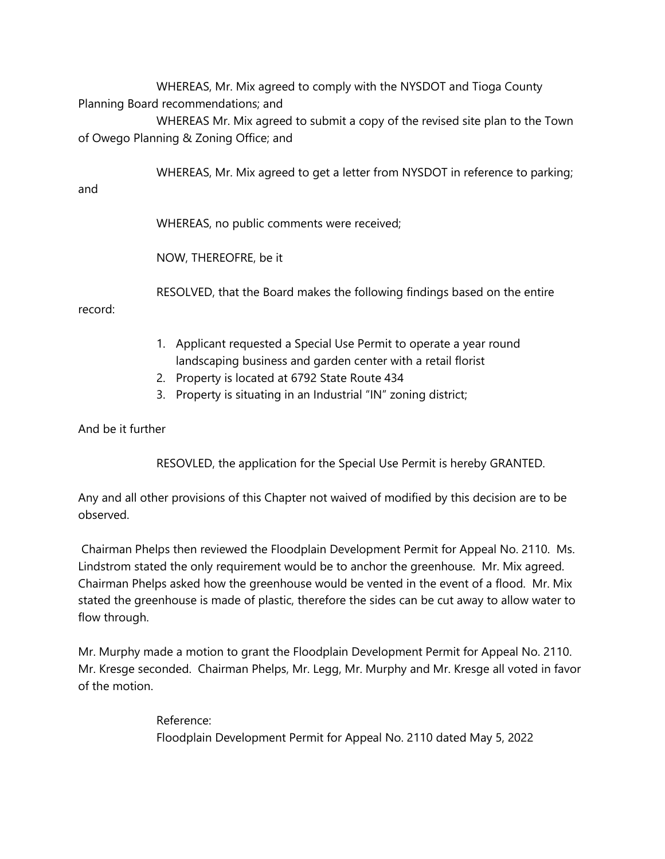WHEREAS, Mr. Mix agreed to comply with the NYSDOT and Tioga County Planning Board recommendations; and

WHEREAS Mr. Mix agreed to submit a copy of the revised site plan to the Town of Owego Planning & Zoning Office; and

WHEREAS, Mr. Mix agreed to get a letter from NYSDOT in reference to parking;

and

WHEREAS, no public comments were received;

NOW, THEREOFRE, be it

RESOLVED, that the Board makes the following findings based on the entire

record:

- 1. Applicant requested a Special Use Permit to operate a year round landscaping business and garden center with a retail florist
- 2. Property is located at 6792 State Route 434
- 3. Property is situating in an Industrial "IN" zoning district;

And be it further

RESOVLED, the application for the Special Use Permit is hereby GRANTED.

Any and all other provisions of this Chapter not waived of modified by this decision are to be observed.

Chairman Phelps then reviewed the Floodplain Development Permit for Appeal No. 2110. Ms. Lindstrom stated the only requirement would be to anchor the greenhouse. Mr. Mix agreed. Chairman Phelps asked how the greenhouse would be vented in the event of a flood. Mr. Mix stated the greenhouse is made of plastic, therefore the sides can be cut away to allow water to flow through.

Mr. Murphy made a motion to grant the Floodplain Development Permit for Appeal No. 2110. Mr. Kresge seconded. Chairman Phelps, Mr. Legg, Mr. Murphy and Mr. Kresge all voted in favor of the motion.

> Reference: Floodplain Development Permit for Appeal No. 2110 dated May 5, 2022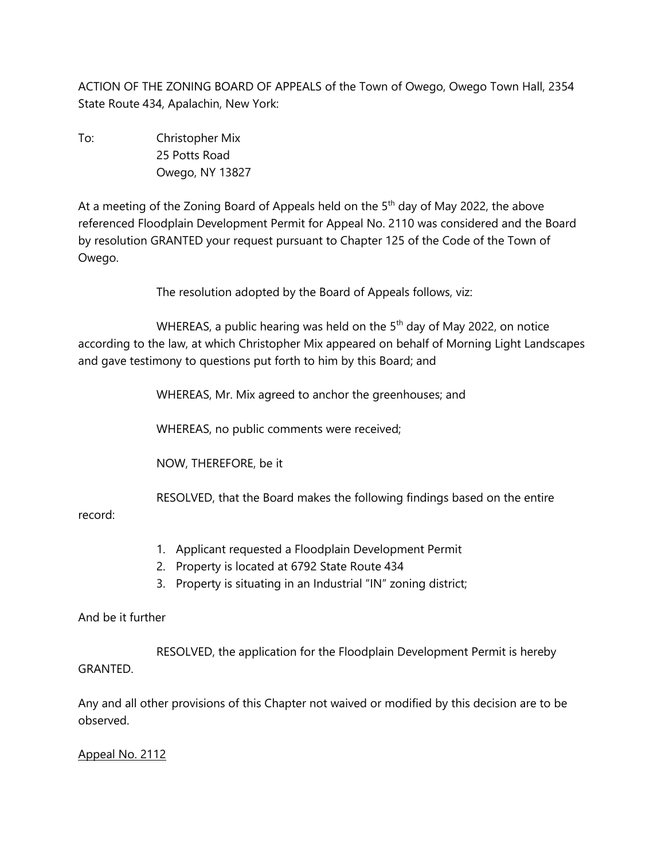ACTION OF THE ZONING BOARD OF APPEALS of the Town of Owego, Owego Town Hall, 2354 State Route 434, Apalachin, New York:

To: Christopher Mix 25 Potts Road Owego, NY 13827

At a meeting of the Zoning Board of Appeals held on the  $5<sup>th</sup>$  day of May 2022, the above referenced Floodplain Development Permit for Appeal No. 2110 was considered and the Board by resolution GRANTED your request pursuant to Chapter 125 of the Code of the Town of Owego.

The resolution adopted by the Board of Appeals follows, viz:

WHEREAS, a public hearing was held on the 5<sup>th</sup> day of May 2022, on notice according to the law, at which Christopher Mix appeared on behalf of Morning Light Landscapes and gave testimony to questions put forth to him by this Board; and

WHEREAS, Mr. Mix agreed to anchor the greenhouses; and

WHEREAS, no public comments were received;

NOW, THEREFORE, be it

RESOLVED, that the Board makes the following findings based on the entire

record:

- 1. Applicant requested a Floodplain Development Permit
- 2. Property is located at 6792 State Route 434
- 3. Property is situating in an Industrial "IN" zoning district;

And be it further

RESOLVED, the application for the Floodplain Development Permit is hereby GRANTED.

Any and all other provisions of this Chapter not waived or modified by this decision are to be observed.

Appeal No. 2112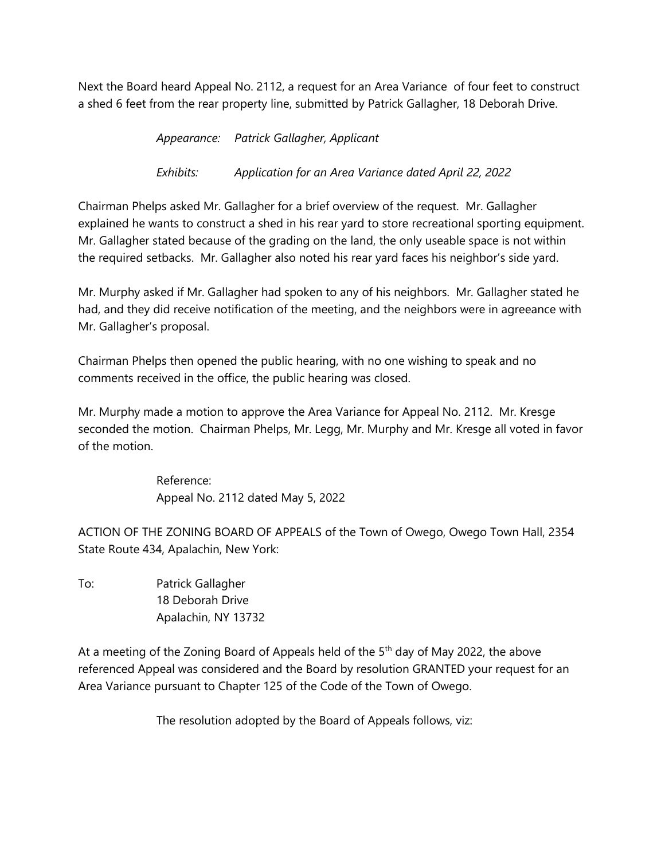Next the Board heard Appeal No. 2112, a request for an Area Variance of four feet to construct a shed 6 feet from the rear property line, submitted by Patrick Gallagher, 18 Deborah Drive.

*Appearance: Patrick Gallagher, Applicant*

*Exhibits: Application for an Area Variance dated April 22, 2022*

Chairman Phelps asked Mr. Gallagher for a brief overview of the request. Mr. Gallagher explained he wants to construct a shed in his rear yard to store recreational sporting equipment. Mr. Gallagher stated because of the grading on the land, the only useable space is not within the required setbacks. Mr. Gallagher also noted his rear yard faces his neighbor's side yard.

Mr. Murphy asked if Mr. Gallagher had spoken to any of his neighbors. Mr. Gallagher stated he had, and they did receive notification of the meeting, and the neighbors were in agreeance with Mr. Gallagher's proposal.

Chairman Phelps then opened the public hearing, with no one wishing to speak and no comments received in the office, the public hearing was closed.

Mr. Murphy made a motion to approve the Area Variance for Appeal No. 2112. Mr. Kresge seconded the motion. Chairman Phelps, Mr. Legg, Mr. Murphy and Mr. Kresge all voted in favor of the motion.

> Reference: Appeal No. 2112 dated May 5, 2022

ACTION OF THE ZONING BOARD OF APPEALS of the Town of Owego, Owego Town Hall, 2354 State Route 434, Apalachin, New York:

To: Patrick Gallagher 18 Deborah Drive Apalachin, NY 13732

At a meeting of the Zoning Board of Appeals held of the  $5<sup>th</sup>$  day of May 2022, the above referenced Appeal was considered and the Board by resolution GRANTED your request for an Area Variance pursuant to Chapter 125 of the Code of the Town of Owego.

The resolution adopted by the Board of Appeals follows, viz: